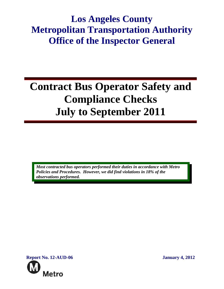# **Los Angeles County Metropolitan Transportation Authority Office of the Inspector General**

# **Contract Bus Operator Safety and Compliance Checks July to September 2011**

*Most contracted bus operators performed their duties in accordance with Metro Policies and Procedures. However, we did find violations in 18% of the observations performed.* 

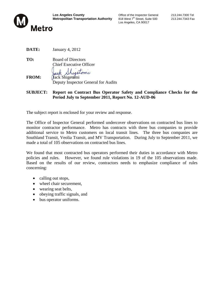

**Los Angeles County Connect County** Coffice of the Inspector General 213.244.7300 Tel<br> **Metropolitan Transportation Authority** 818 West 7<sup>th</sup> Street, Suite 500 213.244.7343 Fax **Metropolitan Transportation Authority** 818 West 7<sup>th</sup> Street, Suite 500 213.244.7343 Fax Los Angeles, CA 90017

**DATE:** January 4, 2012

**TO:** Board of Directors Chief Executive Officer

Shigetomi ack FROM: **Jack Shigetomi** Deputy Inspector General for Audits

**SUBJECT: Report on Contract Bus Operator Safety and Compliance Checks for the Period July to September 2011, Report No. 12-AUD-06**

The subject report is enclosed for your review and response.

The Office of Inspector General performed undercover observations on contracted bus lines to monitor contractor performance. Metro has contracts with three bus companies to provide additional service to Metro customers on local transit lines. The three bus companies are Southland Transit, Veolia Transit, and MV Transportation. During July to September 2011, we made a total of 105 observations on contracted bus lines.

We found that most contracted bus operators performed their duties in accordance with Metro policies and rules. However, we found rule violations in 19 of the 105 observations made. Based on the results of our review, contractors needs to emphasize compliance of rules concerning:

- calling out stops,
- wheel chair securement,
- wearing seat belts,
- obeying traffic signals, and
- bus operator uniforms.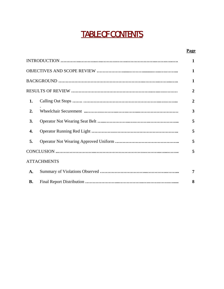# TABLE OF CONTENTS

#### **Page**

|                |                    | $\mathbf{1}$            |
|----------------|--------------------|-------------------------|
|                |                    | $\mathbf{1}$            |
|                |                    | $\mathbf{1}$            |
| $\overline{2}$ |                    |                         |
| 1.             |                    | $\overline{2}$          |
| 2.             |                    | $\overline{\mathbf{3}}$ |
| 3.             |                    | 5                       |
| 4.             |                    | 5                       |
| 5.             |                    | 5                       |
|                |                    | 5                       |
|                | <b>ATTACHMENTS</b> |                         |
| A.             |                    | 7                       |
| <b>B.</b>      |                    | 8                       |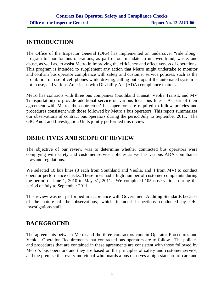# **INTRODUCTION**

The Office of the Inspector General (OIG) has implemented an undercover "ride along" program to monitor bus operations, as part of our mandate to uncover fraud, waste, and abuse, as well as, to assist Metro in improving the efficiency and effectiveness of operations. This program is intended to supplement any action that Metro might undertake to monitor and confirm bus operator compliance with safety and customer service policies, such as the prohibition on use of cell phones while driving, calling out stops if the automated system is not in use, and various Americans with Disability Act (ADA) compliance matters.

Metro has contracts with three bus companies (Southland Transit, Veolia Transit, and MV Transportation) to provide additional service on various local bus lines. As part of their agreement with Metro, the contractors' bus operators are required to follow policies and procedures consistent with those followed by Metro's bus operators. This report summarizes our observations of contract bus operators during the period July to September 2011. The OIG Audit and Investigation Units jointly performed this review.

# **OBJECTIVES AND SCOPE OF REVIEW**

The objective of our review was to determine whether contracted bus operators were complying with safety and customer service policies as well as various ADA compliance laws and regulations.

We selected 10 bus lines (3 each from Southland and Veolia, and 4 from MV) to conduct operator performance checks. These lines had a high number of customer complaints during the period of June 1, 2010 to May 31, 2011. We completed 105 observations during the period of July to September 2011.

This review was not performed in accordance with Government Auditing Standards because of the nature of the observations, which included inspections conducted by OIG investigations staff.

# **BACKGROUND**

The agreements between Metro and the three contractors contain Operator Procedures and Vehicle Operation Requirements that contracted bus operators are to follow. The policies and procedures that are contained in these agreements are consistent with those followed by Metro's bus operators and they are based on the principles of safety and customer service, and the premise that every individual who boards a bus deserves a high standard of care and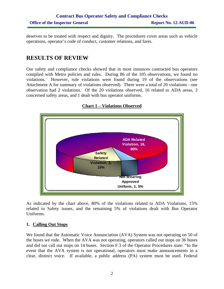deserves to be treated with respect and dignity. The procedures cover areas such as vehicle operations, operator's code of conduct, customer relations, and fares.

### **RESULTS OF REVIEW**

Our safety and compliance checks showed that in most instances contracted bus operators complied with Metro policies and rules. During 86 of the 105 observations, we found no violations. However, rule violations were found during 19 of the observations (see Attachment A for summary of violations observed). There were a total of 20 violations - one observation had 2 violations. Of the 20 violations observed, 16 related to ADA areas, 3 concerned safety areas, and 1 dealt with bus operator uniforms.



**Chart 1 – Violations Observed**

As indicated by the chart above, 80% of the violations related to ADA Violations, 15% related to Safety issues, and the remaining 5% of violations dealt with Bus Operator Uniforms.

#### **1. Calling Out Stops**

We found that the Automatic Voice Annunciation (AVA) System was not operating on 50 of the buses we rode. When the AVA was not operating, operators called out stops on 36 buses and did not call out stops on 14 buses. Section F.3 of the Operator Procedures state: "In the event that the AVA system is not operational, operators must make announcements in a clear, distinct voice. If available, a public address (PA) system must be used. Federal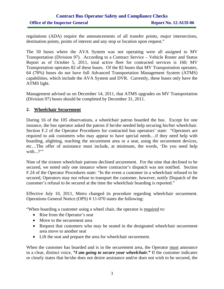#### **Contract Bus Operator Safety and Compliance Checks Office of the Inspector General Report No. 12-AUD-06**

regulations (ADA) require the announcements of all transfer points, major intersections, destination points, points of interest and any stop or location upon request."

The 50 buses where the AVA System was not operating were all assigned to MV Transportation (Division 97). According to a Contract Service – Vehicle Roster and Status Report as of October 5, 2011, total active fleet for contracted services is 160; MV Transportation operates 82 of these buses. Of the 82 buses that MV Transportation operates, 64 (78%) buses do not have full Advanced Transportation Management System (ATMS) capabilities, which include the AVA System and DVR. Currently, these buses only have the ATMS light.

Management advised us on December 14, 2011, that ATMS upgrades on MV Transportation (Division 97) buses should be completed by December 31, 2011.

#### **2. Wheelchair Securement**

During 16 of the 105 observations, a wheelchair patron boarded the bus. Except for one instance, the bus operator asked the patron if he/she needed help securing his/her wheelchair. Section F.2 of the Operator Procedures for contracted bus operators' state: "Operators are required to ask customers who may appear to have special needs…if they need help with boarding, alighting, reaching the securement area or a seat, using the securement devices, etc…The offer of assistance must include, at minimum, the words, 'Do you need help with...?'"

Nine of the sixteen wheelchair patrons declined securement. For the nine that declined to be secured, we noted only one instance where contractor's dispatch was not notified. Section F.24 of the Operator Procedures state: "In the event a customer in a wheelchair refused to be secured, Operators may not refuse to transport the customer, however, notify Dispatch of the customer's refusal to be secured at the time the wheelchair boarding is reported."

Effective July 10, 2011, Metro changed its procedure regarding wheelchair securement. Operations General Notice (OPS) # 11-070 states the following:

"When boarding a customer using a wheel chair, the operator is required to:

- Rise from the Operator's seat
- Move to the securement area
- Request that customers who may be seated in the designated wheelchair securement area move to another seat
- Lift the seat and prepare the area for wheelchair securement.

When the customer has boarded and is in the securement area, the Operator must announce in a clear, distinct voice, *"I am going to secure your wheelchair."* If the customer indicates or clearly states that he/she does not desire assistance and/or does not wish to be secured, the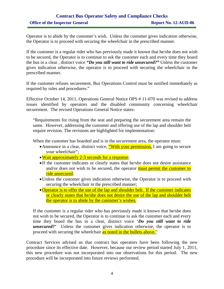#### **Contract Bus Operator Safety and Compliance Checks Office of the Inspector General Report No. 12-AUD-06**

Operator is to abide by the customer's wish. Unless the customer gives indication otherwise, the Operator is to proceed with securing the wheelchair in the prescribed manner.

If the customer is a regular rider who has previously made it known that he/she does not wish to be secured, the Operator is to continue to ask the customer each and every time they board the bus in a clear , distinct voice *"Do you still want to ride unsecured?"* Unless the customer gives indication otherwise, the operator is to proceed with securing the wheelchair in the prescribed manner.

If the customer refuses securement, Bus Operations Control must be notified immediately as required by rules and procedures."

Effective October 14, 2011, Operations General Notice OPS # 11-070 was revised to address issues identified by operators and the disabled community concerning wheelchair securement. The revised Operations General Notice states:

"Requirements for rising from the seat and preparing the securement area remain the same. However, addressing the customer and offering use of the lap and shoulder belt require revision. The revisions are highlighted for implementation:

When the customer has boarded and is in the securement area, the operator must:

- Announce in a clear, distinct voice, "With your permission, I am going to secure your wheelchair";
- Wait approximately 2-3 seconds for a response;
- If the customer indicates or clearly states that he/she does not desire assistance and/or does not wish to be secured, the operator must permit the customer to ride unsecured;
- •Unless the customer gives indication otherwise, the Operator is to proceed with securing the wheelchair in the prescribed manner;
- Operator is to offer the use of the lap and shoulder belt. If the customer indicates or clearly states that he/she does not desire the use of the lap and shoulder belt the operator is to abide by the customer's wishes.

If the customer is a regular rider who has previously made it known that he/she does not wish to be secured, the Operator is to continue to ask the customer each and every time they board the bus in a clear, distinct voice '*Do you still want to ride unsecured?'* Unless the customer gives indication otherwise, the operator is to proceed with securing the wheelchair as noted in the bullets above."

Contract Services advised us that contract bus operators have been following the new procedure since its effective date. However, because our review period started July 1, 2011, this new procedure was not incorporated into our observations for this period. The new procedure will be incorporated into future reviews performed.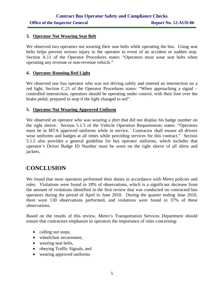#### **3. Operator Not Wearing Seat Belt**

We observed two operators not wearing their seat belts while operating the bus. Using seat belts helps prevent serious injury to the operator in event of an accident or sudden stop. Section A.11 of the Operator Procedures states: "Operators must wear seat belts when operating any revenue or non-revenue vehicle."

#### **4. Operator Running Red Light**

We observed one bus operator who was not driving safely and entered an intersection on a red light. Section C.21 of the Operator Procedures states: "When approaching a signal – controlled intersection, operators should be operating under control, with their foot over the brake pedal, prepared to stop if the light changed to red".

#### **5. Operator Not Wearing Approved Uniform**

We observed an operator who was wearing a shirt that did not display his badge number on the right sleeve. Section 5.1.5 of the Vehicle Operation Requirements states: "Operators must be in MTA approved uniforms while in service. Contractor shall ensure all drivers wear uniforms and badges at all times while providing services for this contract." Section 5.1.5 also provides a general guideline for bus operator uniforms, which includes that operator's Driver Badge ID Number must be worn on the right sleeve of all shirts and jackets.

# **CONCLUSION**

We found that most operators performed their duties in accordance with Metro policies and rules. Violations were found in 18% of observations, which is a significant decrease from the amount of violations identified in the first review that was conducted on contracted bus operators during the period of April to June 2010. During the quarter ending June 2010, there were 130 observations performed, and violations were found in 37% of these observations.

Based on the results of this review, Metro's Transportation Services Department should ensure that contractors emphasize to operators the importance of rules concerning:

- calling out stops,
- wheelchair securement,
- wearing seat belts,
- obeying Traffic Signals, and
- wearing approved uniforms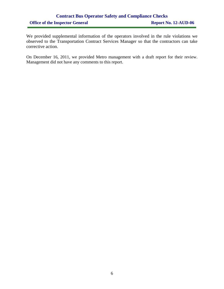### **Contract Bus Operator Safety and Compliance Checks**  Office of the Inspector General Report No. 12-AUD-06

We provided supplemental information of the operators involved in the rule violations we observed to the Transportation Contract Services Manager so that the contractors can take corrective action.

On December 16, 2011, we provided Metro management with a draft report for their review. Management did not have any comments to this report.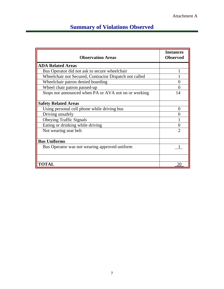# **Summary of Violations Observed**

| <b>Observation Areas</b>                               | <b>Instances</b><br><b>Observed</b> |  |
|--------------------------------------------------------|-------------------------------------|--|
| <b>ADA Related Areas</b>                               |                                     |  |
| Bus Operator did not ask to secure wheelchair          |                                     |  |
| Wheelchair not Secured, Contractor Dispatch not called |                                     |  |
| Wheelchair patron denied boarding                      |                                     |  |
| Wheel chair patron passed-up                           | 0                                   |  |
| Stops not announced when PA or AVA not on or working   | 14                                  |  |
| <b>Safety Related Areas</b>                            |                                     |  |
| Using personal cell phone while driving bus            | 0                                   |  |
| Driving unsafely                                       |                                     |  |
| <b>Obeying Traffic Signals</b>                         |                                     |  |
| Eating or drinking while driving                       | 0                                   |  |
| Not wearing seat belt                                  | っ                                   |  |
| <b>Bus Uniforms</b>                                    |                                     |  |
| Bus Operator was not wearing approved uniform          |                                     |  |
|                                                        |                                     |  |
| <b>TOTAL</b>                                           | 20                                  |  |